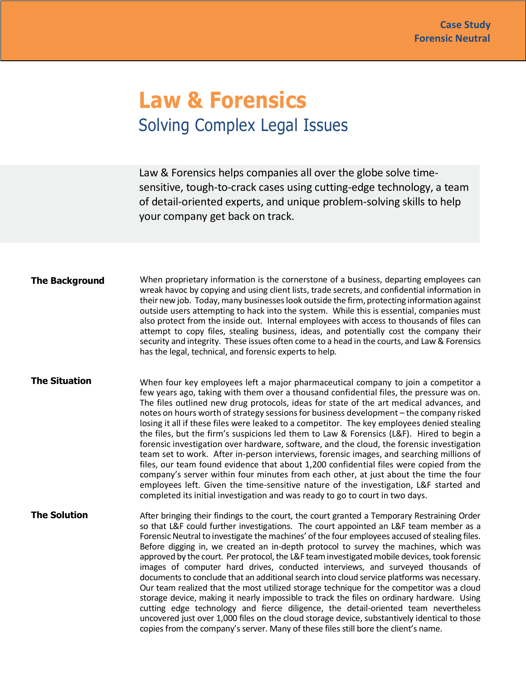## **Law & Forensics** Solving Complex Legal Issues

Law & Forensics helps companies all over the globe solve timesensitive, tough-to-crack cases using cutting-edge technology, a team of detail-oriented experts, and unique problem-solving skills to help your company get back on track.

**The Background** When proprietary information is the cornerstone of a business, departing employees can wreak havoc by copying and using client lists, trade secrets, and confidential information in their new job. Today, many businesses look outside the firm, protecting information against outside users attempting to hack into the system. While this is essential, companies must also protect from the inside out. Internal employees with access to thousands of files can attempt to copy files, stealing business, ideas, and potentially cost the company their security and integrity. These issues often come to a head in the courts, and Law & Forensics has the legal, technical, and forensic experts to help.

## **The Situation**

When four key employees left a major pharmaceutical company to join a competitor a few years ago, taking with them over a thousand confidential files, the pressure was on. The files outlined new drug protocols, ideas for state of the art medical advances, and notes on hours worth of strategy sessions for business development – the company risked losing it all if these files were leaked to a competitor. The key employees denied stealing the files, but the firm's suspicions led them to Law & Forensics (L&F). Hired to begin a forensic investigation over hardware, software, and the cloud, the forensic investigation team set to work. After in-person interviews, forensic images, and searching millions of files, our team found evidence that about 1,200 confidential files were copied from the company's server within four minutes from each other, at just about the time the four employees left. Given the time-sensitive nature of the investigation, L&F started and completed its initial investigation and was ready to go to court in two days.

**The Solution**  After bringing their findings to the court, the court granted a Temporary Restraining Order so that L&F could further investigations. The court appointed an L&F team member as a Forensic Neutral to investigate the machines' of the four employees accused of stealing files. Before digging in, we created an in-depth protocol to survey the machines, which was approved by the court. Per protocol, the L&F team investigated mobile devices, took forensic images of computer hard drives, conducted interviews, and surveyed thousands of documents to conclude that an additional search into cloud service platforms was necessary. Our team realized that the most utilized storage technique for the competitor was a cloud storage device, making it nearly impossible to track the files on ordinary hardware. Using cutting edge technology and fierce diligence, the detail-oriented team nevertheless uncovered just over 1,000 files on the cloud storage device, substantively identical to those copies from the company's server. Many of these files still bore the client's name.